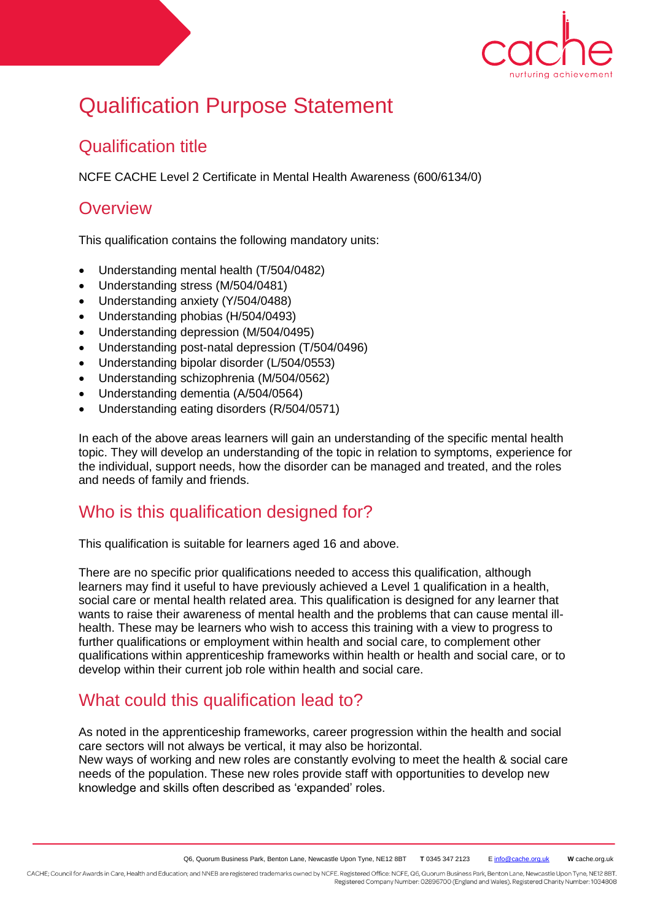

# Qualification Purpose Statement

### Qualification title

NCFE CACHE Level 2 Certificate in Mental Health Awareness (600/6134/0)

# **Overview**

This qualification contains the following mandatory units:

- Understanding mental health (T/504/0482)
- Understanding stress (M/504/0481)
- Understanding anxiety (Y/504/0488)
- Understanding phobias (H/504/0493)
- Understanding depression (M/504/0495)
- Understanding post-natal depression (T/504/0496)
- Understanding bipolar disorder (L/504/0553)
- Understanding schizophrenia (M/504/0562)
- Understanding dementia (A/504/0564)
- Understanding eating disorders (R/504/0571)

In each of the above areas learners will gain an understanding of the specific mental health topic. They will develop an understanding of the topic in relation to symptoms, experience for the individual, support needs, how the disorder can be managed and treated, and the roles and needs of family and friends.

# Who is this qualification designed for?

This qualification is suitable for learners aged 16 and above.

There are no specific prior qualifications needed to access this qualification, although learners may find it useful to have previously achieved a Level 1 qualification in a health, social care or mental health related area. This qualification is designed for any learner that wants to raise their awareness of mental health and the problems that can cause mental illhealth. These may be learners who wish to access this training with a view to progress to further qualifications or employment within health and social care, to complement other qualifications within apprenticeship frameworks within health or health and social care, or to develop within their current job role within health and social care.

# What could this qualification lead to?

As noted in the apprenticeship frameworks, career progression within the health and social care sectors will not always be vertical, it may also be horizontal. New ways of working and new roles are constantly evolving to meet the health & social care needs of the population. These new roles provide staff with opportunities to develop new knowledge and skills often described as 'expanded' roles.

CACHE; Council for Awards in Care, Health and Education; and NNEB are registered trademarks owned by NCFE. Registered Office: NCFE, Q6, Quorum Business Park, Benton Lane, Newcastle Upon Tyne, NE12 8BT. Registered Company Number: 02896700 (England and Wales). Registered Charity Number: 1034808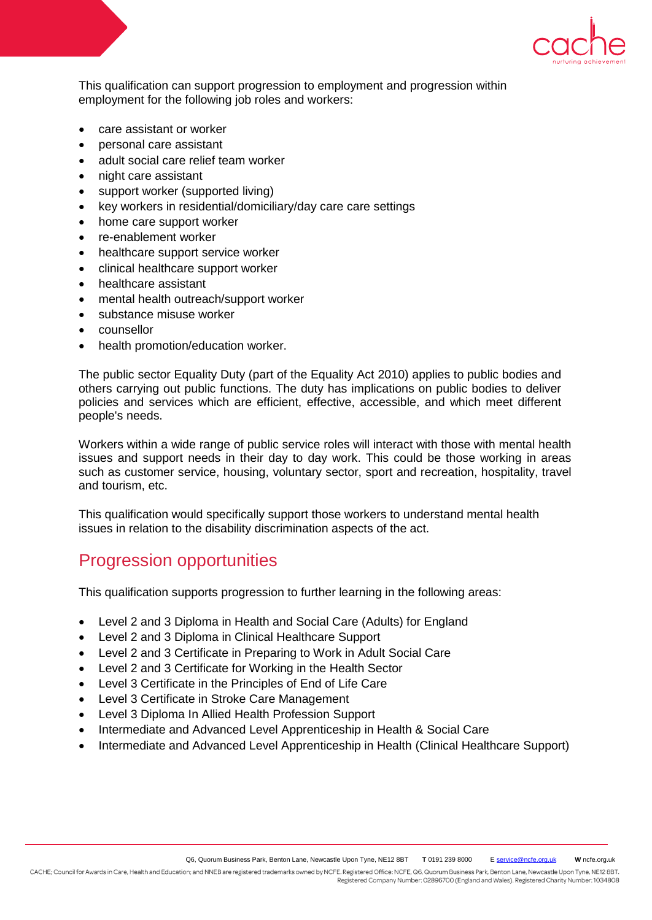

This qualification can support progression to employment and progression within employment for the following job roles and workers:

- care assistant or worker
- personal care assistant
- adult social care relief team worker
- night care assistant
- support worker (supported living)
- key workers in residential/domiciliary/day care care settings
- home care support worker
- re-enablement worker
- healthcare support service worker
- clinical healthcare support worker
- healthcare assistant
- mental health outreach/support worker
- substance misuse worker
- counsellor
- health promotion/education worker.

The public sector Equality Duty (part of the Equality Act 2010) applies to public bodies and others carrying out public functions. The duty has implications on public bodies to deliver policies and services which are efficient, effective, accessible, and which meet different people's needs.

Workers within a wide range of public service roles will interact with those with mental health issues and support needs in their day to day work. This could be those working in areas such as customer service, housing, voluntary sector, sport and recreation, hospitality, travel and tourism, etc.

This qualification would specifically support those workers to understand mental health issues in relation to the disability discrimination aspects of the act.

#### Progression opportunities

This qualification supports progression to further learning in the following areas:

- Level 2 and 3 Diploma in Health and Social Care (Adults) for England
- Level 2 and 3 Diploma in Clinical Healthcare Support
- Level 2 and 3 Certificate in Preparing to Work in Adult Social Care
- Level 2 and 3 Certificate for Working in the Health Sector
- Level 3 Certificate in the Principles of End of Life Care
- Level 3 Certificate in Stroke Care Management
- Level 3 Diploma In Allied Health Profession Support
- Intermediate and Advanced Level Apprenticeship in Health & Social Care
- Intermediate and Advanced Level Apprenticeship in Health (Clinical Healthcare Support)

Registered Company Number: 02896700 (England and Wales). Registered Charity Number: 1034808